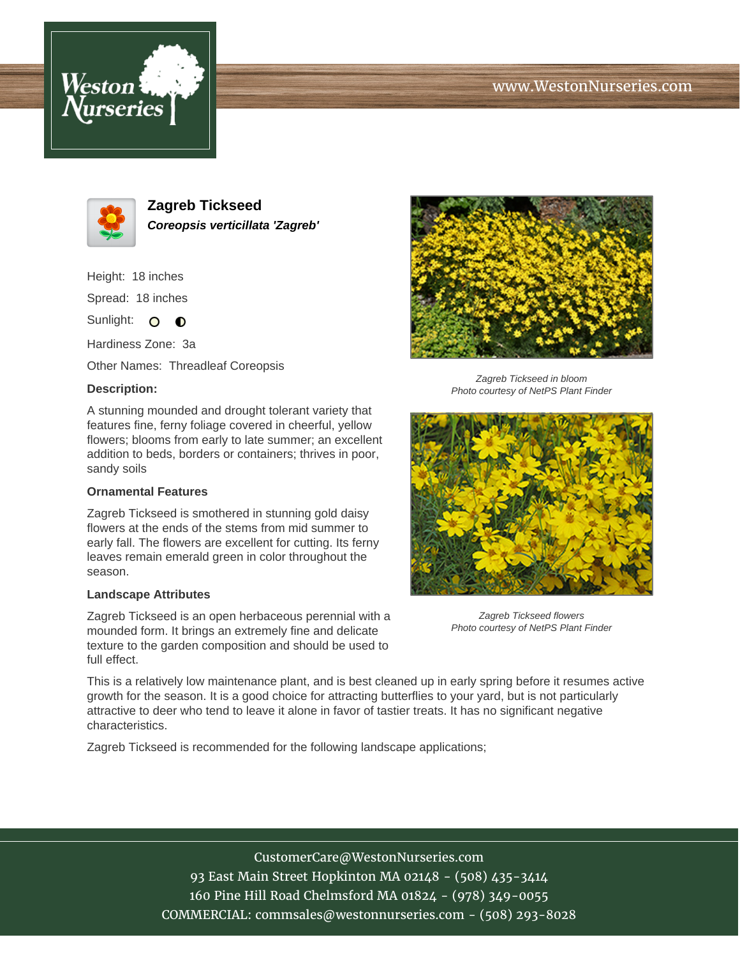# www.WestonNurseries.com





**Zagreb Tickseed Coreopsis verticillata 'Zagreb'**

Height: 18 inches

Spread: 18 inches

Sunlight: O **O** 

Hardiness Zone: 3a

Other Names: Threadleaf Coreopsis

## **Description:**

A stunning mounded and drought tolerant variety that features fine, ferny foliage covered in cheerful, yellow flowers; blooms from early to late summer; an excellent addition to beds, borders or containers; thrives in poor, sandy soils

### **Ornamental Features**

Zagreb Tickseed is smothered in stunning gold daisy flowers at the ends of the stems from mid summer to early fall. The flowers are excellent for cutting. Its ferny leaves remain emerald green in color throughout the season.

#### **Landscape Attributes**

Zagreb Tickseed is an open herbaceous perennial with a mounded form. It brings an extremely fine and delicate texture to the garden composition and should be used to full effect.



Zagreb Tickseed in bloom Photo courtesy of NetPS Plant Finder



Zagreb Tickseed flowers Photo courtesy of NetPS Plant Finder

This is a relatively low maintenance plant, and is best cleaned up in early spring before it resumes active growth for the season. It is a good choice for attracting butterflies to your yard, but is not particularly attractive to deer who tend to leave it alone in favor of tastier treats. It has no significant negative characteristics.

Zagreb Tickseed is recommended for the following landscape applications;

CustomerCare@WestonNurseries.com 93 East Main Street Hopkinton MA 02148 - (508) 435-3414 160 Pine Hill Road Chelmsford MA 01824 - (978) 349-0055 COMMERCIAL: commsales@westonnurseries.com - (508) 293-8028